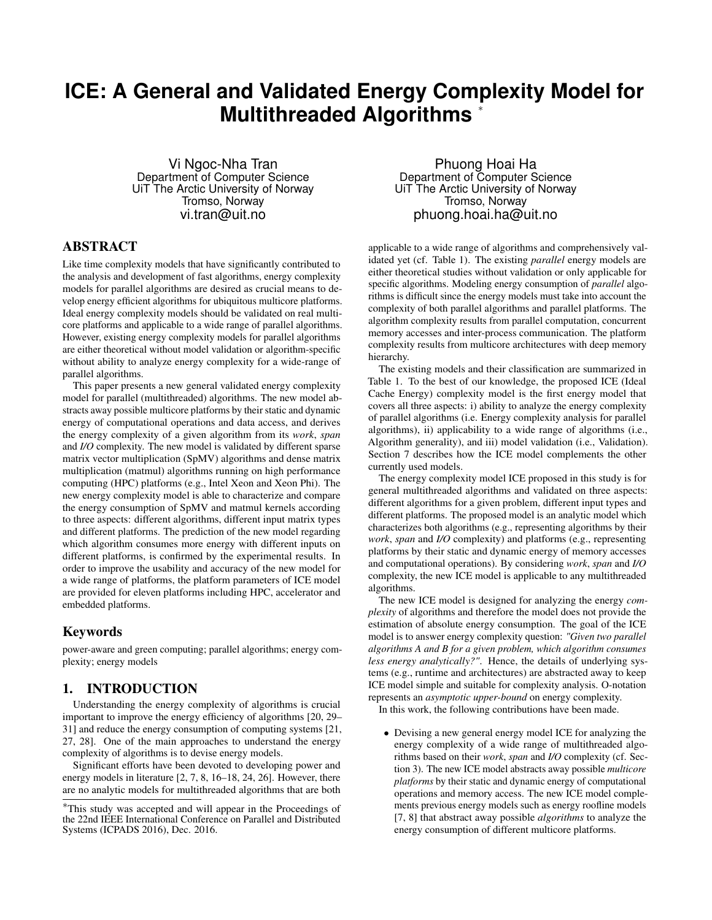# **ICE: A General and Validated Energy Complexity Model for Multithreaded Algorithms** <sup>∗</sup>

Vi Ngoc-Nha Tran Department of Computer Science UiT The Arctic University of Norway Tromso, Norway vi.tran@uit.no

# ABSTRACT

Like time complexity models that have significantly contributed to the analysis and development of fast algorithms, energy complexity models for parallel algorithms are desired as crucial means to develop energy efficient algorithms for ubiquitous multicore platforms. Ideal energy complexity models should be validated on real multicore platforms and applicable to a wide range of parallel algorithms. However, existing energy complexity models for parallel algorithms are either theoretical without model validation or algorithm-specific without ability to analyze energy complexity for a wide-range of parallel algorithms.

This paper presents a new general validated energy complexity model for parallel (multithreaded) algorithms. The new model abstracts away possible multicore platforms by their static and dynamic energy of computational operations and data access, and derives the energy complexity of a given algorithm from its *work*, *span* and *I/O* complexity. The new model is validated by different sparse matrix vector multiplication (SpMV) algorithms and dense matrix multiplication (matmul) algorithms running on high performance computing (HPC) platforms (e.g., Intel Xeon and Xeon Phi). The new energy complexity model is able to characterize and compare the energy consumption of SpMV and matmul kernels according to three aspects: different algorithms, different input matrix types and different platforms. The prediction of the new model regarding which algorithm consumes more energy with different inputs on different platforms, is confirmed by the experimental results. In order to improve the usability and accuracy of the new model for a wide range of platforms, the platform parameters of ICE model are provided for eleven platforms including HPC, accelerator and embedded platforms.

# Keywords

power-aware and green computing; parallel algorithms; energy complexity; energy models

# 1. INTRODUCTION

Understanding the energy complexity of algorithms is crucial important to improve the energy efficiency of algorithms [20, 29– 31] and reduce the energy consumption of computing systems [21, 27, 28]. One of the main approaches to understand the energy complexity of algorithms is to devise energy models.

Significant efforts have been devoted to developing power and energy models in literature [2, 7, 8, 16–18, 24, 26]. However, there are no analytic models for multithreaded algorithms that are both

Phuong Hoai Ha Department of Computer Science UiT The Arctic University of Norway Tromso, Norway phuong.hoai.ha@uit.no

applicable to a wide range of algorithms and comprehensively validated yet (cf. Table 1). The existing *parallel* energy models are either theoretical studies without validation or only applicable for specific algorithms. Modeling energy consumption of *parallel* algorithms is difficult since the energy models must take into account the complexity of both parallel algorithms and parallel platforms. The algorithm complexity results from parallel computation, concurrent memory accesses and inter-process communication. The platform complexity results from multicore architectures with deep memory hierarchy.

The existing models and their classification are summarized in Table 1. To the best of our knowledge, the proposed ICE (Ideal Cache Energy) complexity model is the first energy model that covers all three aspects: i) ability to analyze the energy complexity of parallel algorithms (i.e. Energy complexity analysis for parallel algorithms), ii) applicability to a wide range of algorithms (i.e., Algorithm generality), and iii) model validation (i.e., Validation). Section 7 describes how the ICE model complements the other currently used models.

The energy complexity model ICE proposed in this study is for general multithreaded algorithms and validated on three aspects: different algorithms for a given problem, different input types and different platforms. The proposed model is an analytic model which characterizes both algorithms (e.g., representing algorithms by their *work*, *span* and *I/O* complexity) and platforms (e.g., representing platforms by their static and dynamic energy of memory accesses and computational operations). By considering *work*, *span* and *I/O* complexity, the new ICE model is applicable to any multithreaded algorithms.

The new ICE model is designed for analyzing the energy *complexity* of algorithms and therefore the model does not provide the estimation of absolute energy consumption. The goal of the ICE model is to answer energy complexity question: *"Given two parallel algorithms A and B for a given problem, which algorithm consumes less energy analytically?"*. Hence, the details of underlying systems (e.g., runtime and architectures) are abstracted away to keep ICE model simple and suitable for complexity analysis. O-notation represents an *asymptotic upper-bound* on energy complexity.

In this work, the following contributions have been made.

• Devising a new general energy model ICE for analyzing the energy complexity of a wide range of multithreaded algorithms based on their *work*, *span* and *I/O* complexity (cf. Section 3). The new ICE model abstracts away possible *multicore platforms* by their static and dynamic energy of computational operations and memory access. The new ICE model complements previous energy models such as energy roofline models [7, 8] that abstract away possible *algorithms* to analyze the energy consumption of different multicore platforms.

<sup>∗</sup>This study was accepted and will appear in the Proceedings of the 22nd IEEE International Conference on Parallel and Distributed Systems (ICPADS 2016), Dec. 2016.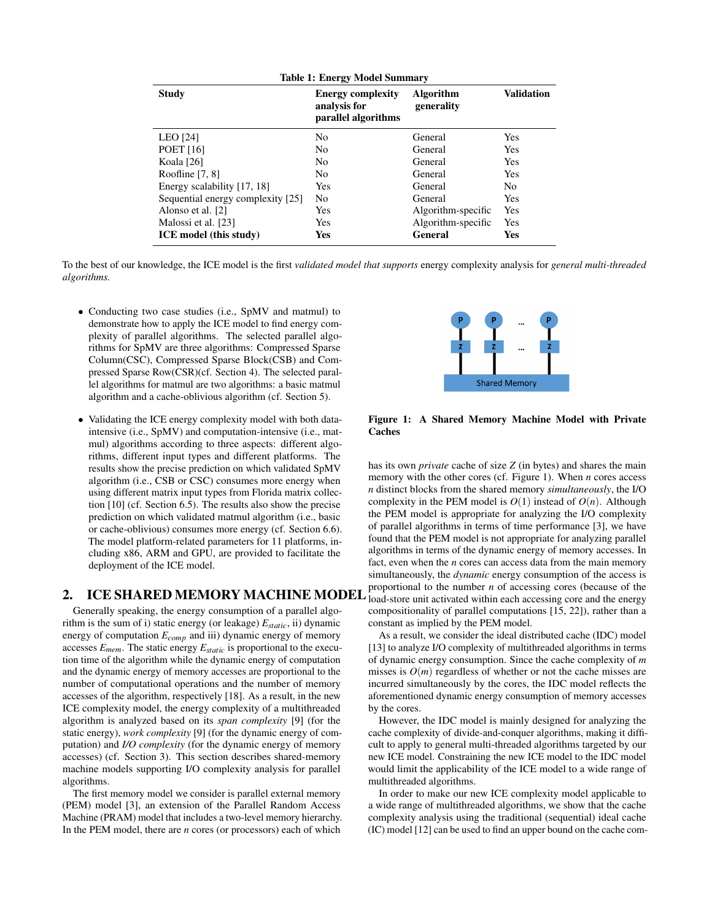| <b>Table 1: Energy Model Summary</b> |                                                                 |                                |                   |  |  |
|--------------------------------------|-----------------------------------------------------------------|--------------------------------|-------------------|--|--|
| <b>Study</b>                         | <b>Energy complexity</b><br>analysis for<br>parallel algorithms | <b>Algorithm</b><br>generality | <b>Validation</b> |  |  |
| LEO [24]                             | N <sub>0</sub>                                                  | General                        | <b>Yes</b>        |  |  |
| <b>POET</b> [16]                     | N <sub>0</sub>                                                  | General                        | Yes               |  |  |
| Koala [26]                           | N <sub>0</sub>                                                  | General                        | Yes               |  |  |
| Roofline $[7, 8]$                    | N <sub>0</sub>                                                  | General                        | Yes               |  |  |
| Energy scalability [17, 18]          | <b>Yes</b>                                                      | General                        | N <sub>0</sub>    |  |  |
| Sequential energy complexity [25]    | N <sub>0</sub>                                                  | General                        | Yes               |  |  |
| Alonso et al. [2]                    | Yes                                                             | Algorithm-specific             | Yes               |  |  |
| Malossi et al. [23]                  | <b>Yes</b>                                                      | Algorithm-specific             | Yes               |  |  |
| <b>ICE</b> model (this study)        | Yes                                                             | General                        | Yes               |  |  |

To the best of our knowledge, the ICE model is the first *validated model that supports* energy complexity analysis for *general multi-threaded algorithms.*

- Conducting two case studies (i.e., SpMV and matmul) to demonstrate how to apply the ICE model to find energy complexity of parallel algorithms. The selected parallel algorithms for SpMV are three algorithms: Compressed Sparse Column(CSC), Compressed Sparse Block(CSB) and Compressed Sparse Row(CSR)(cf. Section 4). The selected parallel algorithms for matmul are two algorithms: a basic matmul algorithm and a cache-oblivious algorithm (cf. Section 5).
- Validating the ICE energy complexity model with both dataintensive (i.e., SpMV) and computation-intensive (i.e., matmul) algorithms according to three aspects: different algorithms, different input types and different platforms. The results show the precise prediction on which validated SpMV algorithm (i.e., CSB or CSC) consumes more energy when using different matrix input types from Florida matrix collection [10] (cf. Section 6.5). The results also show the precise prediction on which validated matmul algorithm (i.e., basic or cache-oblivious) consumes more energy (cf. Section 6.6). The model platform-related parameters for 11 platforms, including x86, ARM and GPU, are provided to facilitate the deployment of the ICE model.

Generally speaking, the energy consumption of a parallel algorithm is the sum of i) static energy (or leakage) *Estatic*, ii) dynamic energy of computation *Ecomp* and iii) dynamic energy of memory accesses *Emem*. The static energy *Estatic* is proportional to the execution time of the algorithm while the dynamic energy of computation and the dynamic energy of memory accesses are proportional to the number of computational operations and the number of memory accesses of the algorithm, respectively [18]. As a result, in the new ICE complexity model, the energy complexity of a multithreaded algorithm is analyzed based on its *span complexity* [9] (for the static energy), *work complexity* [9] (for the dynamic energy of computation) and *I/O complexity* (for the dynamic energy of memory accesses) (cf. Section 3). This section describes shared-memory machine models supporting I/O complexity analysis for parallel algorithms.

The first memory model we consider is parallel external memory (PEM) model [3], an extension of the Parallel Random Access Machine (PRAM) model that includes a two-level memory hierarchy. In the PEM model, there are *n* cores (or processors) each of which



Figure 1: A Shared Memory Machine Model with Private **Caches** 

2. ICE SHARED MEMORY MACHINE MODEL **hoperholder** to the name of accessing cores (because of the has its own *private* cache of size *Z* (in bytes) and shares the main memory with the other cores (cf. Figure 1). When *n* cores access *n* distinct blocks from the shared memory *simultaneously*, the I/O complexity in the PEM model is  $O(1)$  instead of  $O(n)$ . Although the PEM model is appropriate for analyzing the I/O complexity of parallel algorithms in terms of time performance [3], we have found that the PEM model is not appropriate for analyzing parallel algorithms in terms of the dynamic energy of memory accesses. In fact, even when the *n* cores can access data from the main memory simultaneously, the *dynamic* energy consumption of the access is proportional to the number *n* of accessing cores (because of the compositionality of parallel computations [15, 22]), rather than a constant as implied by the PEM model.

> As a result, we consider the ideal distributed cache (IDC) model [13] to analyze I/O complexity of multithreaded algorithms in terms of dynamic energy consumption. Since the cache complexity of *m* misses is  $O(m)$  regardless of whether or not the cache misses are incurred simultaneously by the cores, the IDC model reflects the aforementioned dynamic energy consumption of memory accesses by the cores.

> However, the IDC model is mainly designed for analyzing the cache complexity of divide-and-conquer algorithms, making it difficult to apply to general multi-threaded algorithms targeted by our new ICE model. Constraining the new ICE model to the IDC model would limit the applicability of the ICE model to a wide range of multithreaded algorithms.

> In order to make our new ICE complexity model applicable to a wide range of multithreaded algorithms, we show that the cache complexity analysis using the traditional (sequential) ideal cache (IC) model [12] can be used to find an upper bound on the cache com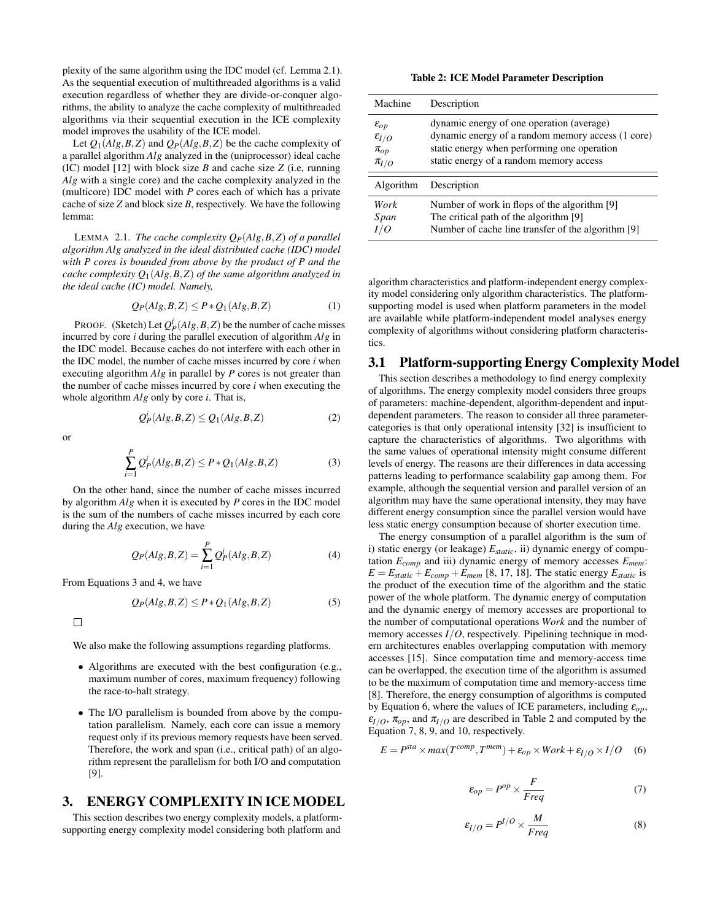plexity of the same algorithm using the IDC model (cf. Lemma 2.1). As the sequential execution of multithreaded algorithms is a valid execution regardless of whether they are divide-or-conquer algorithms, the ability to analyze the cache complexity of multithreaded algorithms via their sequential execution in the ICE complexity model improves the usability of the ICE model.

Let  $Q_1(Alg, B, Z)$  and  $Q_P(Alg, B, Z)$  be the cache complexity of a parallel algorithm *Alg* analyzed in the (uniprocessor) ideal cache (IC) model [12] with block size *B* and cache size *Z* (i.e, running *Alg* with a single core) and the cache complexity analyzed in the (multicore) IDC model with *P* cores each of which has a private cache of size *Z* and block size *B*, respectively. We have the following lemma:

LEMMA 2.1. *The cache complexity QP*(*Alg*,*B*,*Z*) *of a parallel algorithm Alg analyzed in the ideal distributed cache (IDC) model with P cores is bounded from above by the product of P and the cache complexity Q*1(*Alg*,*B*,*Z*) *of the same algorithm analyzed in the ideal cache (IC) model. Namely,*

$$
Q_P(Alg, B, Z) \le P * Q_1(Alg, B, Z)
$$
 (1)

PROOF. (Sketch) Let  $Q_P^i(Alg, B, Z)$  be the number of cache misses incurred by core *i* during the parallel execution of algorithm *Alg* in the IDC model. Because caches do not interfere with each other in the IDC model, the number of cache misses incurred by core *i* when executing algorithm *Alg* in parallel by *P* cores is not greater than the number of cache misses incurred by core *i* when executing the whole algorithm *Alg* only by core *i*. That is,

$$
Q_P^i(Alg, B, Z) \le Q_1(Alg, B, Z)
$$
 (2)

or

$$
\sum_{i=1}^{P} Q_P^i(Alg, B, Z) \le P * Q_1(Alg, B, Z)
$$
\n(3)

On the other hand, since the number of cache misses incurred by algorithm *Alg* when it is executed by *P* cores in the IDC model is the sum of the numbers of cache misses incurred by each core during the *Alg* execution, we have

$$
Q_P(Alg, B, Z) = \sum_{i=1}^{P} Q_P^i(Alg, B, Z)
$$
 (4)

From Equations 3 and 4, we have

$$
Q_P(Alg, B, Z) \le P * Q_1(Alg, B, Z)
$$
\n<sup>(5)</sup>

 $\Box$ 

We also make the following assumptions regarding platforms.

- Algorithms are executed with the best configuration (e.g., maximum number of cores, maximum frequency) following the race-to-halt strategy.
- The I/O parallelism is bounded from above by the computation parallelism. Namely, each core can issue a memory request only if its previous memory requests have been served. Therefore, the work and span (i.e., critical path) of an algorithm represent the parallelism for both I/O and computation [9].

# 3. ENERGY COMPLEXITY IN ICE MODEL

This section describes two energy complexity models, a platformsupporting energy complexity model considering both platform and

Table 2: ICE Model Parameter Description

| Machine                                                                | Description                                                                                                                                                                              |
|------------------------------------------------------------------------|------------------------------------------------------------------------------------------------------------------------------------------------------------------------------------------|
| $\varepsilon_{op}$<br>$\varepsilon_{I/O}$<br>$\pi_{op}$<br>$\pi_{I/O}$ | dynamic energy of one operation (average)<br>dynamic energy of a random memory access (1 core)<br>static energy when performing one operation<br>static energy of a random memory access |
| Algorithm                                                              | Description                                                                                                                                                                              |
| Work<br>Span                                                           | Number of work in flops of the algorithm [9]<br>The critical path of the algorithm [9]<br>Number of cache line transfer of the algorithm [9]                                             |

algorithm characteristics and platform-independent energy complexity model considering only algorithm characteristics. The platformsupporting model is used when platform parameters in the model are available while platform-independent model analyses energy complexity of algorithms without considering platform characteristics.

#### 3.1 Platform-supporting Energy Complexity Model

This section describes a methodology to find energy complexity of algorithms. The energy complexity model considers three groups of parameters: machine-dependent, algorithm-dependent and inputdependent parameters. The reason to consider all three parametercategories is that only operational intensity [32] is insufficient to capture the characteristics of algorithms. Two algorithms with the same values of operational intensity might consume different levels of energy. The reasons are their differences in data accessing patterns leading to performance scalability gap among them. For example, although the sequential version and parallel version of an algorithm may have the same operational intensity, they may have different energy consumption since the parallel version would have less static energy consumption because of shorter execution time.

The energy consumption of a parallel algorithm is the sum of i) static energy (or leakage) *Estatic*, ii) dynamic energy of computation *Ecomp* and iii) dynamic energy of memory accesses *Emem*:  $E = E_{static} + E_{comp} + E_{mem}$  [8, 17, 18]. The static energy  $E_{static}$  is the product of the execution time of the algorithm and the static power of the whole platform. The dynamic energy of computation and the dynamic energy of memory accesses are proportional to the number of computational operations *Work* and the number of memory accesses *I/O*, respectively. Pipelining technique in modern architectures enables overlapping computation with memory accesses [15]. Since computation time and memory-access time can be overlapped, the execution time of the algorithm is assumed to be the maximum of computation time and memory-access time [8]. Therefore, the energy consumption of algorithms is computed by Equation 6, where the values of ICE parameters, including  $\varepsilon_{op}$ ,  $\epsilon_{I/O}$ ,  $\pi_{op}$ , and  $\pi_{I/O}$  are described in Table 2 and computed by the Equation 7, 8, 9, and 10, respectively.

$$
E = P^{sta} \times max(T^{comp}, T^{mem}) + \varepsilon_{op} \times Work + \varepsilon_{I/O} \times I/O
$$
 (6)

$$
\varepsilon_{op} = P^{op} \times \frac{F}{Freq} \tag{7}
$$

$$
\varepsilon_{I/O} = P^{I/O} \times \frac{M}{Freq}
$$
 (8)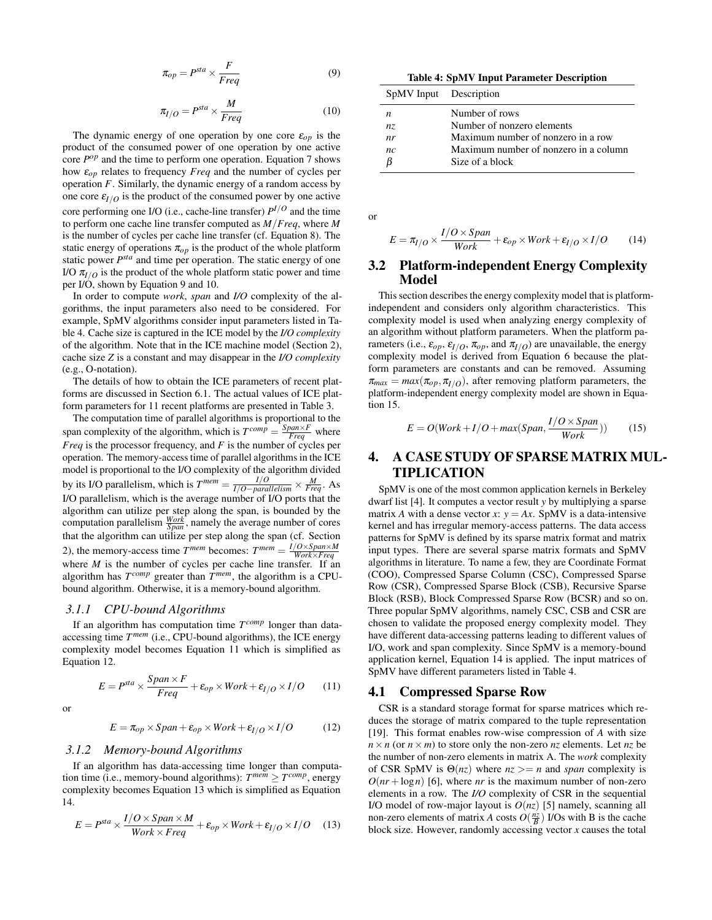$$
\pi_{op} = P^{sta} \times \frac{F}{Freq} \tag{9}
$$

$$
\pi_{I/O} = P^{sta} \times \frac{M}{Freq}
$$
 (10)

The dynamic energy of one operation by one core  $\varepsilon_{op}$  is the product of the consumed power of one operation by one active core  $P^{op}$  and the time to perform one operation. Equation 7 shows how ε*op* relates to frequency *Freq* and the number of cycles per operation *F*. Similarly, the dynamic energy of a random access by one core  $\varepsilon_{I/O}$  is the product of the consumed power by one active core performing one I/O (i.e., cache-line transfer) *P <sup>I</sup>*/*<sup>O</sup>* and the time to perform one cache line transfer computed as *M*/*Freq*, where *M* is the number of cycles per cache line transfer (cf. Equation 8). The static energy of operations  $\pi_{op}$  is the product of the whole platform static power  $P^{sta}$  and time per operation. The static energy of one I/O  $\pi_{I/O}$  is the product of the whole platform static power and time per I/O, shown by Equation 9 and 10.

In order to compute *work*, *span* and *I/O* complexity of the algorithms, the input parameters also need to be considered. For example, SpMV algorithms consider input parameters listed in Table 4. Cache size is captured in the ICE model by the *I/O complexity* of the algorithm. Note that in the ICE machine model (Section 2), cache size *Z* is a constant and may disappear in the *I/O complexity* (e.g., O-notation).

The details of how to obtain the ICE parameters of recent platforms are discussed in Section 6.1. The actual values of ICE platform parameters for 11 recent platforms are presented in Table 3.

The computation time of parallel algorithms is proportional to the span complexity of the algorithm, which is  $T^{comp} = \frac{Span \times F}{Freq}$  where *Freq* is the processor frequency, and *F* is the number of cycles per operation. The memory-access time of parallel algorithms in the ICE model is proportional to the I/O complexity of the algorithm divided by its I/O parallelism, which is  $T^{mem} = \frac{I/O}{I/O - parallelism} \times \frac{M}{Freq}$ . As I/O parallelism, which is the average number of I/O ports that the algorithm can utilize per step along the span, is bounded by the computation parallelism  $\frac{Work}{Span}$ , namely the average number of cores that the algorithm can utilize per step along the span (cf. Section 2), the memory-access time  $T^{mem}$  becomes:  $T^{mem} = \frac{I/O \times Span \times M}{Work \times Freq}$ where *M* is the number of cycles per cache line transfer. If an algorithm has  $T^{comp}$  greater than  $\overline{T}^{mem}$ , the algorithm is a CPUbound algorithm. Otherwise, it is a memory-bound algorithm.

#### *3.1.1 CPU-bound Algorithms*

If an algorithm has computation time *T comp* longer than dataaccessing time *T mem* (i.e., CPU-bound algorithms), the ICE energy complexity model becomes Equation 11 which is simplified as Equation 12.

$$
E = Psta \times \frac{Span \times F}{Freq} + \varepsilon_{op} \times Work + \varepsilon_{I/O} \times I/O
$$
 (11)

or

$$
E = \pi_{op} \times Span + \varepsilon_{op} \times Work + \varepsilon_{I/O} \times I/O \tag{12}
$$

#### *3.1.2 Memory-bound Algorithms*

If an algorithm has data-accessing time longer than computation time (i.e., memory-bound algorithms):  $T^{mem} \geq T^{comp}$ , energy complexity becomes Equation 13 which is simplified as Equation 14.

$$
E = Psta \times \frac{I/O \times Span \times M}{Work \times Freq} + \varepsilon_{op} \times Work + \varepsilon_{I/O} \times I/O
$$
 (13)

Table 4: SpMV Input Parameter Description

| SpMV Input Description |                                       |
|------------------------|---------------------------------------|
| n                      | Number of rows                        |
| nz.                    | Number of nonzero elements            |
| nr                     | Maximum number of nonzero in a row    |
| nc                     | Maximum number of nonzero in a column |
|                        | Size of a block                       |

or

$$
E = \pi_{I/O} \times \frac{I/O \times Span}{Work} + \varepsilon_{op} \times Work + \varepsilon_{I/O} \times I/O
$$
 (14)

#### 3.2 Platform-independent Energy Complexity Model

This section describes the energy complexity model that is platformindependent and considers only algorithm characteristics. This complexity model is used when analyzing energy complexity of an algorithm without platform parameters. When the platform parameters (i.e.,  $\varepsilon_{op}$ ,  $\varepsilon_{I/O}$ ,  $\pi_{op}$ , and  $\pi_{I/O}$ ) are unavailable, the energy complexity model is derived from Equation 6 because the platform parameters are constants and can be removed. Assuming  $\pi_{max} = max(\pi_{op}, \pi_{I/O})$ , after removing platform parameters, the platform-independent energy complexity model are shown in Equation 15.

$$
E = O(Work + I/O + max(Span, \frac{I/O \times Span}{Work}))
$$
 (15)

# 4. A CASE STUDY OF SPARSE MATRIX MUL-TIPLICATION

SpMV is one of the most common application kernels in Berkeley dwarf list [4]. It computes a vector result *y* by multiplying a sparse matrix *A* with a dense vector *x*:  $y = Ax$ . SpMV is a data-intensive kernel and has irregular memory-access patterns. The data access patterns for SpMV is defined by its sparse matrix format and matrix input types. There are several sparse matrix formats and SpMV algorithms in literature. To name a few, they are Coordinate Format (COO), Compressed Sparse Column (CSC), Compressed Sparse Row (CSR), Compressed Sparse Block (CSB), Recursive Sparse Block (RSB), Block Compressed Sparse Row (BCSR) and so on. Three popular SpMV algorithms, namely CSC, CSB and CSR are chosen to validate the proposed energy complexity model. They have different data-accessing patterns leading to different values of I/O, work and span complexity. Since SpMV is a memory-bound application kernel, Equation 14 is applied. The input matrices of SpMV have different parameters listed in Table 4.

#### 4.1 Compressed Sparse Row

CSR is a standard storage format for sparse matrices which reduces the storage of matrix compared to the tuple representation [19]. This format enables row-wise compression of *A* with size  $n \times n$  (or  $n \times m$ ) to store only the non-zero *nz* elements. Let *nz* be the number of non-zero elements in matrix A. The *work* complexity of CSR SpMV is  $\Theta(nz)$  where  $nz \geq n$  and *span* complexity is  $O(nr + \log n)$  [6], where *nr* is the maximum number of non-zero elements in a row. The *I/O* complexity of CSR in the sequential I/O model of row-major layout is *O*(*nz*) [5] namely, scanning all non-zero elements of matrix *A* costs  $O(\frac{nz}{B})$  I/Os with B is the cache block size. However, randomly accessing vector *x* causes the total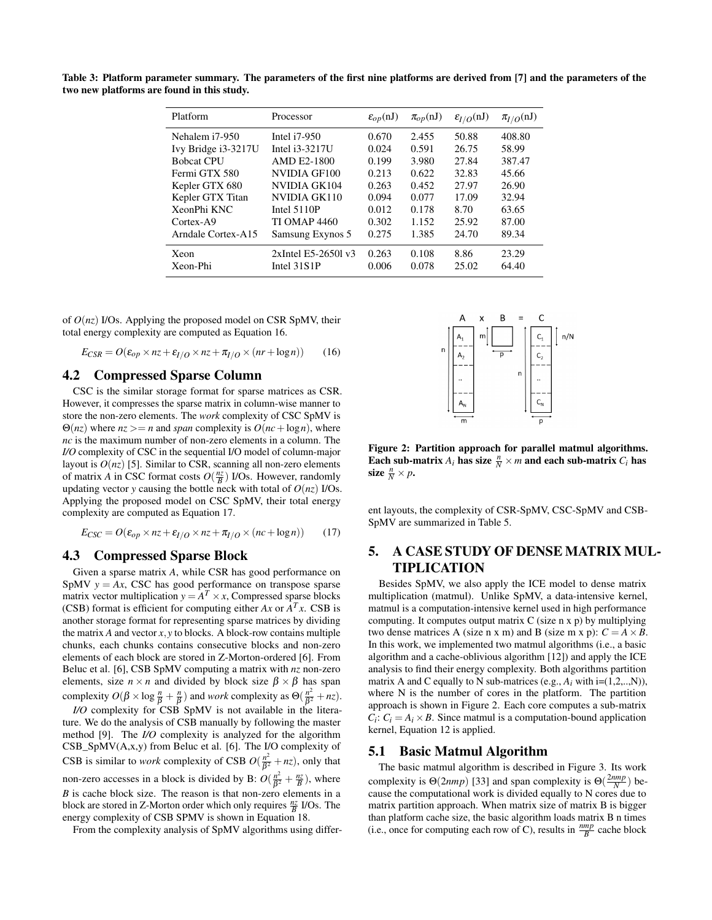Table 3: Platform parameter summary. The parameters of the first nine platforms are derived from [7] and the parameters of the two new platforms are found in this study.

| Platform            | Processor              | $\varepsilon_{op}(nJ)$ | $\pi_{op}(nJ)$ | $\varepsilon_{I/O}$ (nJ) | $\pi_{I/O}$ (nJ) |
|---------------------|------------------------|------------------------|----------------|--------------------------|------------------|
| Nehalem i7-950      | Intel $i7-950$         | 0.670                  | 2.455          | 50.88                    | 408.80           |
| Ivy Bridge i3-3217U | Intel i3-3217U         | 0.024                  | 0.591          | 26.75                    | 58.99            |
| <b>Bobcat CPU</b>   | <b>AMD E2-1800</b>     | 0.199                  | 3.980          | 27.84                    | 387.47           |
| Fermi GTX 580       | NVIDIA GF100           | 0.213                  | 0.622          | 32.83                    | 45.66            |
| Kepler GTX 680      | NVIDIA GK104           | 0.263                  | 0.452          | 27.97                    | 26.90            |
| Kepler GTX Titan    | NVIDIA GK110           | 0.094                  | 0.077          | 17.09                    | 32.94            |
| XeonPhi KNC         | Intel $5110P$          | 0.012                  | 0.178          | 8.70                     | 63.65            |
| $Cortex-A9$         | <b>TI OMAP 4460</b>    | 0.302                  | 1.152          | 25.92                    | 87.00            |
| Arndale Cortex-A15  | Samsung Exynos 5       | 0.275                  | 1.385          | 24.70                    | 89.34            |
| Xeon                | $2x$ Intel E5-26501 v3 | 0.263                  | 0.108          | 8.86                     | 23.29            |
| Xeon-Phi            | Intel $31S1P$          | 0.006                  | 0.078          | 25.02                    | 64.40            |

of *O*(*nz*) I/Os. Applying the proposed model on CSR SpMV, their total energy complexity are computed as Equation 16.

$$
E_{CSR} = O(\varepsilon_{op} \times nz + \varepsilon_{I/O} \times nz + \pi_{I/O} \times (nr + \log n)) \tag{16}
$$

# 4.2 Compressed Sparse Column

CSC is the similar storage format for sparse matrices as CSR. However, it compresses the sparse matrix in column-wise manner to store the non-zero elements. The *work* complexity of CSC SpMV is  $\Theta(nz)$  where  $nz \geq n$  and *span* complexity is  $O(nc + \log n)$ , where *nc* is the maximum number of non-zero elements in a column. The *I/O* complexity of CSC in the sequential I/O model of column-major layout is  $O(nz)$  [5]. Similar to CSR, scanning all non-zero elements of matrix *A* in CSC format costs  $O(\frac{nz}{B})$  I/Os. However, randomly updating vector *y* causing the bottle neck with total of  $O(nz)$  I/Os. Applying the proposed model on CSC SpMV, their total energy complexity are computed as Equation 17.

$$
E_{CSC} = O(\varepsilon_{op} \times nz + \varepsilon_{I/O} \times nz + \pi_{I/O} \times (nc + \log n)) \tag{17}
$$

# 4.3 Compressed Sparse Block

Given a sparse matrix *A*, while CSR has good performance on SpMV  $y = Ax$ , CSC has good performance on transpose sparse matrix vector multiplication  $y = A^T \times x$ , Compressed sparse blocks (CSB) format is efficient for computing either  $Ax$  or  $A<sup>T</sup>x$ . CSB is another storage format for representing sparse matrices by dividing the matrix  $A$  and vector  $x, y$  to blocks. A block-row contains multiple chunks, each chunks contains consecutive blocks and non-zero elements of each block are stored in Z-Morton-ordered [6]. From Beluc et al. [6], CSB SpMV computing a matrix with *nz* non-zero elements, size  $n \times n$  and divided by block size  $\beta \times \beta$  has span complexity  $O(\beta \times \log \frac{n}{\beta} + \frac{n}{\beta})$  and *work* complexity as  $\Theta(\frac{n^2}{\beta^2})$  $rac{n^2}{\beta^2} + nz$ ).

*I/O* complexity for CSB SpMV is not available in the literature. We do the analysis of CSB manually by following the master method [9]. The *I/O* complexity is analyzed for the algorithm CSB\_SpMV(A,x,y) from Beluc et al. [6]. The I/O complexity of CSB is similar to *work* complexity of CSB  $O(\frac{n^2}{\beta^2})$  $\frac{n^2}{\beta^2}$  + *nz*), only that non-zero accesses in a block is divided by B:  $O(\frac{n^2}{\beta^2})$  $\frac{n^2}{\beta^2} + \frac{nz}{B}$ ), where *B* is cache block size. The reason is that non-zero elements in a block are stored in Z-Morton order which only requires  $\frac{nz}{B}$  I/Os. The energy complexity of CSB SPMV is shown in Equation 18.

From the complexity analysis of SpMV algorithms using differ-



Figure 2: Partition approach for parallel matmul algorithms. Each sub-matrix  $A_i$  has size  $\frac{n}{N} \times m$  and each sub-matrix  $C_i$  has size  $\frac{n}{N} \times p$ .

ent layouts, the complexity of CSR-SpMV, CSC-SpMV and CSB-SpMV are summarized in Table 5.

# 5. A CASE STUDY OF DENSE MATRIX MUL-TIPLICATION

Besides SpMV, we also apply the ICE model to dense matrix multiplication (matmul). Unlike SpMV, a data-intensive kernel, matmul is a computation-intensive kernel used in high performance computing. It computes output matrix C (size n x p) by multiplying two dense matrices A (size n x m) and B (size m x p):  $C = A \times B$ . In this work, we implemented two matmul algorithms (i.e., a basic algorithm and a cache-oblivious algorithm [12]) and apply the ICE analysis to find their energy complexity. Both algorithms partition matrix A and C equally to N sub-matrices (e.g.,  $A_i$  with  $i=(1,2,...,N)$ ), where N is the number of cores in the platform. The partition approach is shown in Figure 2. Each core computes a sub-matrix  $C_i$ :  $C_i = A_i \times B$ . Since matmul is a computation-bound application kernel, Equation 12 is applied.

#### 5.1 Basic Matmul Algorithm

The basic matmul algorithm is described in Figure 3. Its work complexity is  $\Theta(2nmp)$  [33] and span complexity is  $\Theta(\frac{2nmp}{N})$  because the computational work is divided equally to N cores due to matrix partition approach. When matrix size of matrix B is bigger than platform cache size, the basic algorithm loads matrix B n times (i.e., once for computing each row of C), results in  $\frac{nmp}{B}$  cache block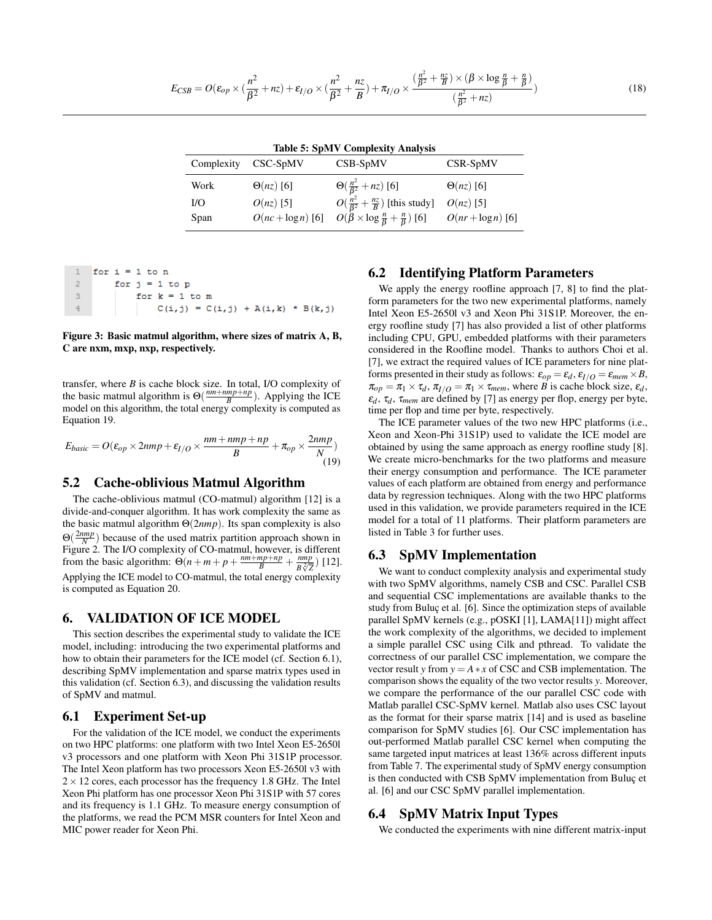$$
E_{CSB} = O(\varepsilon_{op} \times (\frac{n^2}{\beta^2} + nz) + \varepsilon_{I/O} \times (\frac{n^2}{\beta^2} + \frac{nz}{B}) + \pi_{I/O} \times \frac{(\frac{n^2}{\beta^2} + \frac{nz}{B}) \times (\beta \times \log \frac{n}{\beta} + \frac{n}{\beta})}{(\frac{n^2}{\beta^2} + nz)})
$$
(18)

Table 5: SpMV Complexity Analysis

| Complexity | $CSC-SpMV$       | CSB-SpMV                                                                                  | CSR-SpMV             |
|------------|------------------|-------------------------------------------------------------------------------------------|----------------------|
| Work       | $\Theta(nz)$ [6] | $\Theta(\frac{n^2}{\beta^2}+nz)$ [6]                                                      | $\Theta(nz)$ [6]     |
| I/O        | $O(nz)$ [5]      | $O(\frac{n^2}{\beta^2} + \frac{nz}{B})$ [this study]                                      | $O(nz)$ [5]          |
| Span       |                  | $O(nc + \log n)$ [6] $O(\tilde{\beta} \times \log \frac{n}{\beta} + \frac{n}{\beta})$ [6] | $O(nr + \log n)$ [6] |

|   | for $i = 1$ to n |                                         |  |  |
|---|------------------|-----------------------------------------|--|--|
|   |                  | for $i = 1$ to p                        |  |  |
| 3 |                  | for $k = 1$ to m                        |  |  |
|   |                  | $C(i, j) = C(i, j) + A(i, k) * B(k, j)$ |  |  |

#### Figure 3: Basic matmul algorithm, where sizes of matrix A, B, C are nxm, mxp, nxp, respectively.

transfer, where *B* is cache block size. In total, I/O complexity of the basic matmul algorithm is  $\Theta(\frac{nm+nmp+np}{B})$ . Applying the ICE model on this algorithm, the total energy complexity is computed as Equation 19.

$$
E_{basic} = O(\varepsilon_{op} \times 2nmp + \varepsilon_{I/O} \times \frac{nm + nmp + np}{B} + \pi_{op} \times \frac{2nmp}{N} )
$$
\n(19)

### 5.2 Cache-oblivious Matmul Algorithm

The cache-oblivious matmul (CO-matmul) algorithm [12] is a divide-and-conquer algorithm. It has work complexity the same as the basic matmul algorithm Θ(2*nmp*). Its span complexity is also  $\Theta(\frac{2nmp}{N})$  because of the used matrix partition approach shown in  $\Theta(\frac{N}{N})$  because of the used matrix partition approach shown in Figure 2. The I/O complexity of CO-matmul, however, is different from the basic algorithm:  $\Theta(n+m+p+\frac{nm+mp+np}{B}+\frac{nmp}{B\sqrt[2]{p}})$  $\frac{nmp}{B\sqrt[2]{Z}}$ ) [12]. Applying the ICE model to CO-matmul, the total energy complexity is computed as Equation 20.

#### 6. VALIDATION OF ICE MODEL

This section describes the experimental study to validate the ICE model, including: introducing the two experimental platforms and how to obtain their parameters for the ICE model (cf. Section 6.1), describing SpMV implementation and sparse matrix types used in this validation (cf. Section 6.3), and discussing the validation results of SpMV and matmul.

### 6.1 Experiment Set-up

For the validation of the ICE model, we conduct the experiments on two HPC platforms: one platform with two Intel Xeon E5-2650l v3 processors and one platform with Xeon Phi 31S1P processor. The Intel Xeon platform has two processors Xeon E5-2650l v3 with  $2 \times 12$  cores, each processor has the frequency 1.8 GHz. The Intel Xeon Phi platform has one processor Xeon Phi 31S1P with 57 cores and its frequency is 1.1 GHz. To measure energy consumption of the platforms, we read the PCM MSR counters for Intel Xeon and MIC power reader for Xeon Phi.

# 6.2 Identifying Platform Parameters

We apply the energy roofline approach [7, 8] to find the platform parameters for the two new experimental platforms, namely Intel Xeon E5-2650l v3 and Xeon Phi 31S1P. Moreover, the energy roofline study [7] has also provided a list of other platforms including CPU, GPU, embedded platforms with their parameters considered in the Roofline model. Thanks to authors Choi et al. [7], we extract the required values of ICE parameters for nine platforms presented in their study as follows:  $\varepsilon_{op} = \varepsilon_d$ ,  $\varepsilon_{I/O} = \varepsilon_{mem} \times B$ ,  $\pi_{op} = \pi_1 \times \tau_d$ ,  $\pi_{I/O} = \pi_1 \times \tau_{mem}$ , where *B* is cache block size,  $\varepsilon_d$ ,  $\varepsilon_d$ ,  $\tau_d$ ,  $\tau_{mem}$  are defined by [7] as energy per flop, energy per byte, time per flop and time per byte, respectively.

The ICE parameter values of the two new HPC platforms (i.e., Xeon and Xeon-Phi 31S1P) used to validate the ICE model are obtained by using the same approach as energy roofline study [8]. We create micro-benchmarks for the two platforms and measure their energy consumption and performance. The ICE parameter values of each platform are obtained from energy and performance data by regression techniques. Along with the two HPC platforms used in this validation, we provide parameters required in the ICE model for a total of 11 platforms. Their platform parameters are listed in Table 3 for further uses.

# 6.3 SpMV Implementation

We want to conduct complexity analysis and experimental study with two SpMV algorithms, namely CSB and CSC. Parallel CSB and sequential CSC implementations are available thanks to the study from Buluç et al. [6]. Since the optimization steps of available parallel SpMV kernels (e.g., pOSKI [1], LAMA[11]) might affect the work complexity of the algorithms, we decided to implement a simple parallel CSC using Cilk and pthread. To validate the correctness of our parallel CSC implementation, we compare the vector result *y* from  $y = A * x$  of CSC and CSB implementation. The comparison shows the equality of the two vector results *y*. Moreover, we compare the performance of the our parallel CSC code with Matlab parallel CSC-SpMV kernel. Matlab also uses CSC layout as the format for their sparse matrix [14] and is used as baseline comparison for SpMV studies [6]. Our CSC implementation has out-performed Matlab parallel CSC kernel when computing the same targeted input matrices at least 136% across different inputs from Table 7. The experimental study of SpMV energy consumption is then conducted with CSB SpMV implementation from Buluç et al. [6] and our CSC SpMV parallel implementation.

# 6.4 SpMV Matrix Input Types

We conducted the experiments with nine different matrix-input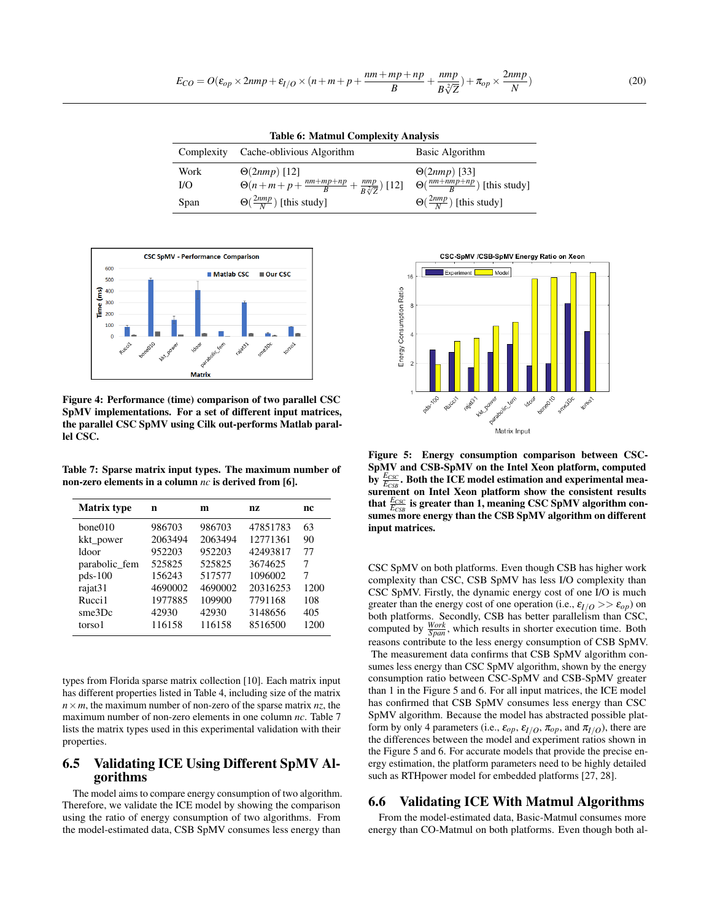$$
E_{CO} = O(\varepsilon_{op} \times 2nmp + \varepsilon_{I/O} \times (n+m+p+\frac{nm+mp+np}{B}+\frac{nmp}{B\sqrt[2]{Z}}) + \pi_{op} \times \frac{2nmp}{N})
$$
(20)

Table 6: Matmul Complexity Analysis

| Complexity | Cache-oblivious Algorithm                                        | Basic Algorithm                                |
|------------|------------------------------------------------------------------|------------------------------------------------|
| Work       | $\Theta(2nmp)$ [12]                                              | $\Theta(2nmp)$ [33]                            |
| I/O        | $\Theta(n+m+p+\frac{nm+mp+np}{B}+\frac{nmp}{B\sqrt[2]{7}})$ [12] | $\Theta(\frac{nm + nmp + np}{R})$ [this study] |
| Span       | $\Theta(\frac{2nmp}{N})$ [this study]                            | $\Theta(\frac{2nmp}{N})$ [this study]          |



Figure 4: Performance (time) comparison of two parallel CSC SpMV implementations. For a set of different input matrices, the parallel CSC SpMV using Cilk out-performs Matlab parallel CSC.

Table 7: Sparse matrix input types. The maximum number of non-zero elements in a column *nc* is derived from [6].

| <b>Matrix type</b> | n       | m       | nz       | nc   |
|--------------------|---------|---------|----------|------|
| bone010            | 986703  | 986703  | 47851783 | 63   |
| kkt_power          | 2063494 | 2063494 | 12771361 | 90   |
| ldoor              | 952203  | 952203  | 42493817 | 77   |
| parabolic_fem      | 525825  | 525825  | 3674625  | 7    |
| pds-100            | 156243  | 517577  | 1096002  | 7    |
| rajat31            | 4690002 | 4690002 | 20316253 | 1200 |
| Rucci1             | 1977885 | 109900  | 7791168  | 108  |
| sme3Dc             | 42930   | 42930   | 3148656  | 405  |
| torso 1            | 116158  | 116158  | 8516500  | 1200 |

types from Florida sparse matrix collection [10]. Each matrix input has different properties listed in Table 4, including size of the matrix  $n \times m$ , the maximum number of non-zero of the sparse matrix  $nz$ , the maximum number of non-zero elements in one column *nc*. Table 7 lists the matrix types used in this experimental validation with their properties.

# 6.5 Validating ICE Using Different SpMV Algorithms

The model aims to compare energy consumption of two algorithm. Therefore, we validate the ICE model by showing the comparison using the ratio of energy consumption of two algorithms. From the model-estimated data, CSB SpMV consumes less energy than



Figure 5: Energy consumption comparison between CSC-SpMV and CSB-SpMV on the Intel Xeon platform, computed by  $\frac{E_{CSC}}{E_{CSB}}$ . Both the ICE model estimation and experimental measurement on Intel Xeon platform show the consistent results that  $\frac{E_{CSC}}{E_{CSB}}$  is greater than 1, meaning CSC SpMV algorithm consumes more energy than the CSB SpMV algorithm on different input matrices.

CSC SpMV on both platforms. Even though CSB has higher work complexity than CSC, CSB SpMV has less I/O complexity than CSC SpMV. Firstly, the dynamic energy cost of one I/O is much greater than the energy cost of one operation (i.e.,  $\varepsilon_{I/O} >> \varepsilon_{op}$ ) on both platforms. Secondly, CSB has better parallelism than CSC, computed by  $\frac{Work}{Span}$ , which results in shorter execution time. Both reasons contribute to the less energy consumption of CSB SpMV. The measurement data confirms that CSB SpMV algorithm consumes less energy than CSC SpMV algorithm, shown by the energy consumption ratio between CSC-SpMV and CSB-SpMV greater than 1 in the Figure 5 and 6. For all input matrices, the ICE model has confirmed that CSB SpMV consumes less energy than CSC SpMV algorithm. Because the model has abstracted possible platform by only 4 parameters (i.e.,  $\varepsilon_{op}, \varepsilon_{I/O}, \pi_{op}$ , and  $\pi_{I/O}$ ), there are the differences between the model and experiment ratios shown in the Figure 5 and 6. For accurate models that provide the precise energy estimation, the platform parameters need to be highly detailed such as RTHpower model for embedded platforms [27, 28].

# 6.6 Validating ICE With Matmul Algorithms

From the model-estimated data, Basic-Matmul consumes more energy than CO-Matmul on both platforms. Even though both al-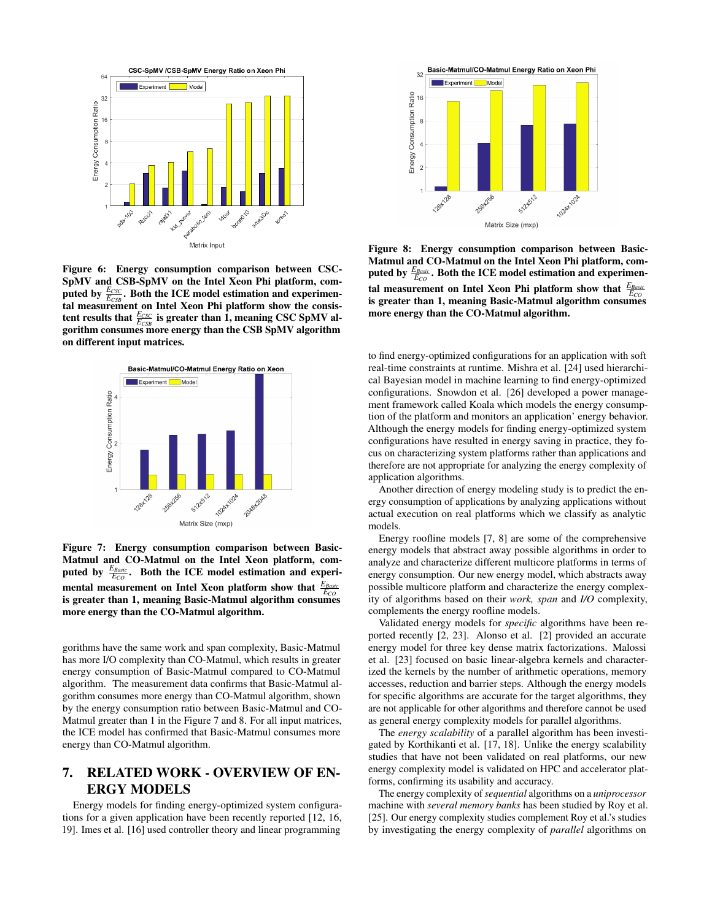

Figure 6: Energy consumption comparison between CSC-SpMV and CSB-SpMV on the Intel Xeon Phi platform, computed by  $\frac{E_{CSC}}{E_{CSB}}$ . Both the ICE model estimation and experimental measurement on Intel Xeon Phi platform show the consistent results that  $\frac{E_{CSC}}{E_{CSB}}$  is greater than 1, meaning CSC SpMV algorithm consumes more energy than the CSB SpMV algorithm on different input matrices.



Figure 7: Energy consumption comparison between Basic-Matmul and CO-Matmul on the Intel Xeon platform, computed by  $\frac{E_{Basic}}{E_{CO}}$ . Both the ICE model estimation and experimental measurement on Intel Xeon platform show that  $\frac{E_{Basic}}{E_{CO}}$ is greater than 1, meaning Basic-Matmul algorithm consumes more energy than the CO-Matmul algorithm.

gorithms have the same work and span complexity, Basic-Matmul has more I/O complexity than CO-Matmul, which results in greater energy consumption of Basic-Matmul compared to CO-Matmul algorithm. The measurement data confirms that Basic-Matmul algorithm consumes more energy than CO-Matmul algorithm, shown by the energy consumption ratio between Basic-Matmul and CO-Matmul greater than 1 in the Figure 7 and 8. For all input matrices, the ICE model has confirmed that Basic-Matmul consumes more energy than CO-Matmul algorithm.

# 7. RELATED WORK - OVERVIEW OF EN-ERGY MODELS

Energy models for finding energy-optimized system configurations for a given application have been recently reported [12, 16, 19]. Imes et al. [16] used controller theory and linear programming



Figure 8: Energy consumption comparison between Basic-Matmul and CO-Matmul on the Intel Xeon Phi platform, computed by  $\frac{E_{Basic}}{E_{CO}}$ . Both the ICE model estimation and experimental measurement on Intel Xeon Phi platform show that  $\frac{E_{Basic}}{E_{CO}}$ is greater than 1, meaning Basic-Matmul algorithm consumes more energy than the CO-Matmul algorithm.

to find energy-optimized configurations for an application with soft real-time constraints at runtime. Mishra et al. [24] used hierarchical Bayesian model in machine learning to find energy-optimized configurations. Snowdon et al. [26] developed a power management framework called Koala which models the energy consumption of the platform and monitors an application' energy behavior. Although the energy models for finding energy-optimized system configurations have resulted in energy saving in practice, they focus on characterizing system platforms rather than applications and therefore are not appropriate for analyzing the energy complexity of application algorithms.

Another direction of energy modeling study is to predict the energy consumption of applications by analyzing applications without actual execution on real platforms which we classify as analytic models.

Energy roofline models [7, 8] are some of the comprehensive energy models that abstract away possible algorithms in order to analyze and characterize different multicore platforms in terms of energy consumption. Our new energy model, which abstracts away possible multicore platform and characterize the energy complexity of algorithms based on their *work, span* and *I/O* complexity, complements the energy roofline models.

Validated energy models for *specific* algorithms have been reported recently [2, 23]. Alonso et al. [2] provided an accurate energy model for three key dense matrix factorizations. Malossi et al. [23] focused on basic linear-algebra kernels and characterized the kernels by the number of arithmetic operations, memory accesses, reduction and barrier steps. Although the energy models for specific algorithms are accurate for the target algorithms, they are not applicable for other algorithms and therefore cannot be used as general energy complexity models for parallel algorithms.

The *energy scalability* of a parallel algorithm has been investigated by Korthikanti et al. [17, 18]. Unlike the energy scalability studies that have not been validated on real platforms, our new energy complexity model is validated on HPC and accelerator platforms, confirming its usability and accuracy.

The energy complexity of *sequential* algorithms on a *uniprocessor* machine with *several memory banks* has been studied by Roy et al. [25]. Our energy complexity studies complement Roy et al.'s studies by investigating the energy complexity of *parallel* algorithms on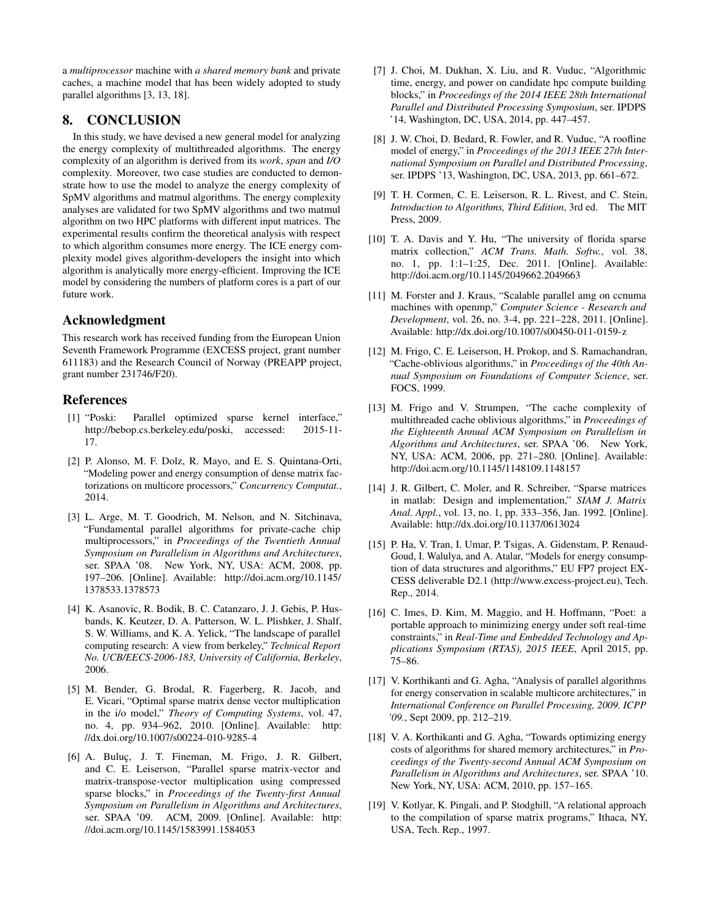a *multiprocessor* machine with *a shared memory bank* and private caches, a machine model that has been widely adopted to study parallel algorithms [3, 13, 18].

# 8. CONCLUSION

In this study, we have devised a new general model for analyzing the energy complexity of multithreaded algorithms. The energy complexity of an algorithm is derived from its *work*, *span* and *I/O* complexity. Moreover, two case studies are conducted to demonstrate how to use the model to analyze the energy complexity of SpMV algorithms and matmul algorithms. The energy complexity analyses are validated for two SpMV algorithms and two matmul algorithm on two HPC platforms with different input matrices. The experimental results confirm the theoretical analysis with respect to which algorithm consumes more energy. The ICE energy complexity model gives algorithm-developers the insight into which algorithm is analytically more energy-efficient. Improving the ICE model by considering the numbers of platform cores is a part of our future work.

# Acknowledgment

This research work has received funding from the European Union Seventh Framework Programme (EXCESS project, grant number 611183) and the Research Council of Norway (PREAPP project, grant number 231746/F20).

# References

- [1] "Poski: Parallel optimized sparse kernel interface," http://bebop.cs.berkeley.edu/poski, accessed: 2015-11- 17.
- [2] P. Alonso, M. F. Dolz, R. Mayo, and E. S. Quintana-Orti, "Modeling power and energy consumption of dense matrix factorizations on multicore processors," *Concurrency Computat.*, 2014.
- [3] L. Arge, M. T. Goodrich, M. Nelson, and N. Sitchinava, "Fundamental parallel algorithms for private-cache chip multiprocessors," in *Proceedings of the Twentieth Annual Symposium on Parallelism in Algorithms and Architectures*, ser. SPAA '08. New York, NY, USA: ACM, 2008, pp. 197–206. [Online]. Available: http://doi.acm.org/10.1145/ 1378533.1378573
- [4] K. Asanovic, R. Bodik, B. C. Catanzaro, J. J. Gebis, P. Husbands, K. Keutzer, D. A. Patterson, W. L. Plishker, J. Shalf, S. W. Williams, and K. A. Yelick, "The landscape of parallel computing research: A view from berkeley," *Technical Report No. UCB/EECS-2006-183, University of California, Berkeley*, 2006.
- [5] M. Bender, G. Brodal, R. Fagerberg, R. Jacob, and E. Vicari, "Optimal sparse matrix dense vector multiplication in the i/o model," *Theory of Computing Systems*, vol. 47, no. 4, pp. 934–962, 2010. [Online]. Available: http: //dx.doi.org/10.1007/s00224-010-9285-4
- [6] A. Buluç, J. T. Fineman, M. Frigo, J. R. Gilbert, and C. E. Leiserson, "Parallel sparse matrix-vector and matrix-transpose-vector multiplication using compressed sparse blocks," in *Proceedings of the Twenty-first Annual Symposium on Parallelism in Algorithms and Architectures*, ser. SPAA '09. ACM, 2009. [Online]. Available: http: //doi.acm.org/10.1145/1583991.1584053
- [7] J. Choi, M. Dukhan, X. Liu, and R. Vuduc, "Algorithmic time, energy, and power on candidate hpc compute building blocks," in *Proceedings of the 2014 IEEE 28th International Parallel and Distributed Processing Symposium*, ser. IPDPS '14, Washington, DC, USA, 2014, pp. 447–457.
- [8] J. W. Choi, D. Bedard, R. Fowler, and R. Vuduc, "A roofline model of energy," in *Proceedings of the 2013 IEEE 27th International Symposium on Parallel and Distributed Processing*, ser. IPDPS '13, Washington, DC, USA, 2013, pp. 661–672.
- [9] T. H. Cormen, C. E. Leiserson, R. L. Rivest, and C. Stein, *Introduction to Algorithms, Third Edition*, 3rd ed. The MIT Press, 2009.
- [10] T. A. Davis and Y. Hu, "The university of florida sparse matrix collection," *ACM Trans. Math. Softw.*, vol. 38, no. 1, pp. 1:1–1:25, Dec. 2011. [Online]. Available: http://doi.acm.org/10.1145/2049662.2049663
- [11] M. Forster and J. Kraus, "Scalable parallel amg on ccnuma machines with openmp," *Computer Science - Research and Development*, vol. 26, no. 3-4, pp. 221–228, 2011. [Online]. Available: http://dx.doi.org/10.1007/s00450-011-0159-z
- [12] M. Frigo, C. E. Leiserson, H. Prokop, and S. Ramachandran, "Cache-oblivious algorithms," in *Proceedings of the 40th Annual Symposium on Foundations of Computer Science*, ser. FOCS, 1999.
- [13] M. Frigo and V. Strumpen, "The cache complexity of multithreaded cache oblivious algorithms," in *Proceedings of the Eighteenth Annual ACM Symposium on Parallelism in Algorithms and Architectures*, ser. SPAA '06. New York, NY, USA: ACM, 2006, pp. 271–280. [Online]. Available: http://doi.acm.org/10.1145/1148109.1148157
- [14] J. R. Gilbert, C. Moler, and R. Schreiber, "Sparse matrices in matlab: Design and implementation," *SIAM J. Matrix Anal. Appl.*, vol. 13, no. 1, pp. 333–356, Jan. 1992. [Online]. Available: http://dx.doi.org/10.1137/0613024
- [15] P. Ha, V. Tran, I. Umar, P. Tsigas, A. Gidenstam, P. Renaud-Goud, I. Walulya, and A. Atalar, "Models for energy consumption of data structures and algorithms," EU FP7 project EX-CESS deliverable D2.1 (http://www.excess-project.eu), Tech. Rep., 2014.
- [16] C. Imes, D. Kim, M. Maggio, and H. Hoffmann, "Poet: a portable approach to minimizing energy under soft real-time constraints," in *Real-Time and Embedded Technology and Applications Symposium (RTAS), 2015 IEEE*, April 2015, pp. 75–86.
- [17] V. Korthikanti and G. Agha, "Analysis of parallel algorithms for energy conservation in scalable multicore architectures," in *International Conference on Parallel Processing, 2009. ICPP '09.*, Sept 2009, pp. 212–219.
- [18] V. A. Korthikanti and G. Agha, "Towards optimizing energy costs of algorithms for shared memory architectures," in *Proceedings of the Twenty-second Annual ACM Symposium on Parallelism in Algorithms and Architectures*, ser. SPAA '10. New York, NY, USA: ACM, 2010, pp. 157–165.
- [19] V. Kotlyar, K. Pingali, and P. Stodghill, "A relational approach to the compilation of sparse matrix programs," Ithaca, NY, USA, Tech. Rep., 1997.